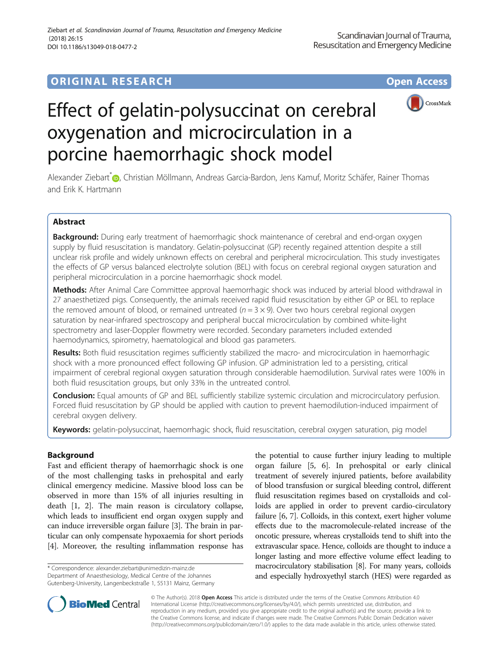## **ORIGINAL RESEARCH CONSUMING ACCESS**



# Effect of gelatin-polysuccinat on cerebral oxygenation and microcirculation in a porcine haemorrhagic shock model

Alexander Ziebart<sup>\*</sup> <sub>(b)</sub>[,](http://orcid.org/0000-0002-0294-3884) Christian Möllmann, Andreas Garcia-Bardon, Jens Kamuf, Moritz Schäfer, Rainer Thomas and Erik K. Hartmann

## Abstract

Background: During early treatment of haemorrhagic shock maintenance of cerebral and end-organ oxygen supply by fluid resuscitation is mandatory. Gelatin-polysuccinat (GP) recently regained attention despite a still unclear risk profile and widely unknown effects on cerebral and peripheral microcirculation. This study investigates the effects of GP versus balanced electrolyte solution (BEL) with focus on cerebral regional oxygen saturation and peripheral microcirculation in a porcine haemorrhagic shock model.

Methods: After Animal Care Committee approval haemorrhagic shock was induced by arterial blood withdrawal in 27 anaesthetized pigs. Consequently, the animals received rapid fluid resuscitation by either GP or BEL to replace the removed amount of blood, or remained untreated ( $n = 3 \times 9$ ). Over two hours cerebral regional oxygen saturation by near-infrared spectroscopy and peripheral buccal microcirculation by combined white-light spectrometry and laser-Doppler flowmetry were recorded. Secondary parameters included extended haemodynamics, spirometry, haematological and blood gas parameters.

Results: Both fluid resuscitation regimes sufficiently stabilized the macro- and microcirculation in haemorrhagic shock with a more pronounced effect following GP infusion. GP administration led to a persisting, critical impairment of cerebral regional oxygen saturation through considerable haemodilution. Survival rates were 100% in both fluid resuscitation groups, but only 33% in the untreated control.

Conclusion: Equal amounts of GP and BEL sufficiently stabilize systemic circulation and microcirculatory perfusion. Forced fluid resuscitation by GP should be applied with caution to prevent haemodilution-induced impairment of cerebral oxygen delivery.

Keywords: gelatin-polysuccinat, haemorrhagic shock, fluid resuscitation, cerebral oxygen saturation, pig model

## Background

Fast and efficient therapy of haemorrhagic shock is one of the most challenging tasks in prehospital and early clinical emergency medicine. Massive blood loss can be observed in more than 15% of all injuries resulting in death [\[1](#page-9-0), [2](#page-9-0)]. The main reason is circulatory collapse, which leads to insufficient end organ oxygen supply and can induce irreversible organ failure [[3\]](#page-9-0). The brain in particular can only compensate hypoxaemia for short periods [[4\]](#page-9-0). Moreover, the resulting inflammation response has

\* Correspondence: [alexander.ziebart@unimedizin-mainz.de](mailto:alexander.ziebart@unimedizin-mainz.de) Department of Anaesthesiology, Medical Centre of the Johannes Gutenberg-University, Langenbeckstraße 1, 55131 Mainz, Germany

the potential to cause further injury leading to multiple organ failure [\[5, 6](#page-9-0)]. In prehospital or early clinical treatment of severely injured patients, before availability of blood transfusion or surgical bleeding control, different fluid resuscitation regimes based on crystalloids and colloids are applied in order to prevent cardio-circulatory failure [\[6, 7\]](#page-9-0). Colloids, in this context, exert higher volume effects due to the macromolecule-related increase of the oncotic pressure, whereas crystalloids tend to shift into the extravascular space. Hence, colloids are thought to induce a longer lasting and more effective volume effect leading to macrocirculatory stabilisation [[8](#page-9-0)]. For many years, colloids and especially hydroxyethyl starch (HES) were regarded as



© The Author(s). 2018 Open Access This article is distributed under the terms of the Creative Commons Attribution 4.0 International License [\(http://creativecommons.org/licenses/by/4.0/](http://creativecommons.org/licenses/by/4.0/)), which permits unrestricted use, distribution, and reproduction in any medium, provided you give appropriate credit to the original author(s) and the source, provide a link to the Creative Commons license, and indicate if changes were made. The Creative Commons Public Domain Dedication waiver [\(http://creativecommons.org/publicdomain/zero/1.0/](http://creativecommons.org/publicdomain/zero/1.0/)) applies to the data made available in this article, unless otherwise stated.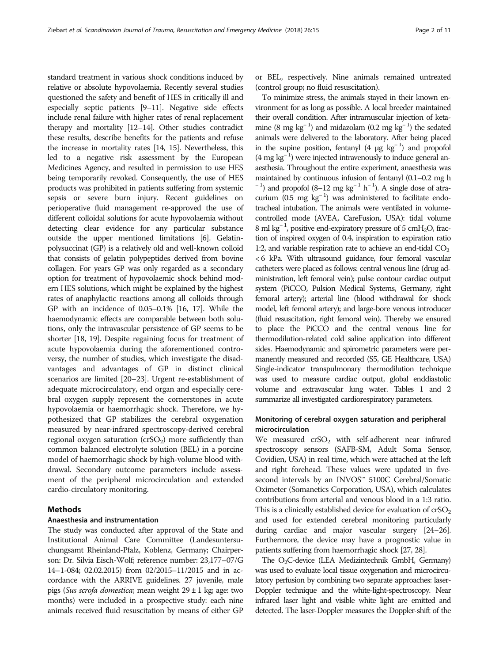standard treatment in various shock conditions induced by relative or absolute hypovolaemia. Recently several studies questioned the safety and benefit of HES in critically ill and especially septic patients [[9](#page-9-0)–[11](#page-9-0)]. Negative side effects include renal failure with higher rates of renal replacement therapy and mortality [\[12](#page-9-0)–[14\]](#page-9-0). Other studies contradict these results, describe benefits for the patients and refuse the increase in mortality rates [\[14, 15](#page-9-0)]. Nevertheless, this led to a negative risk assessment by the European Medicines Agency, and resulted in permission to use HES being temporarily revoked. Consequently, the use of HES products was prohibited in patients suffering from systemic sepsis or severe burn injury. Recent guidelines on perioperative fluid management re-approved the use of different colloidal solutions for acute hypovolaemia without detecting clear evidence for any particular substance outside the upper mentioned limitations [\[6\]](#page-9-0). Gelatinpolysuccinat (GP) is a relatively old and well-known colloid that consists of gelatin polypeptides derived from bovine collagen. For years GP was only regarded as a secondary option for treatment of hypovolaemic shock behind modern HES solutions, which might be explained by the highest rates of anaphylactic reactions among all colloids through GP with an incidence of 0.05–0.1% [\[16, 17](#page-9-0)]. While the haemodynamic effects are comparable between both solutions, only the intravascular persistence of GP seems to be shorter [\[18, 19\]](#page-9-0). Despite regaining focus for treatment of acute hypovolaemia during the aforementioned controversy, the number of studies, which investigate the disadvantages and advantages of GP in distinct clinical scenarios are limited [\[20](#page-9-0)–[23](#page-9-0)]. Urgent re-establishment of adequate microcirculatory, end organ and especially cerebral oxygen supply represent the cornerstones in acute hypovolaemia or haemorrhagic shock. Therefore, we hypothesized that GP stabilizes the cerebral oxygenation measured by near-infrared spectroscopy-derived cerebral regional oxygen saturation ( $crSO<sub>2</sub>$ ) more sufficiently than common balanced electrolyte solution (BEL) in a porcine model of haemorrhagic shock by high-volume blood withdrawal. Secondary outcome parameters include assessment of the peripheral microcirculation and extended cardio-circulatory monitoring.

#### Methods

## Anaesthesia and instrumentation

The study was conducted after approval of the State and Institutional Animal Care Committee (Landesuntersuchungsamt Rheinland-Pfalz, Koblenz, Germany; Chairperson: Dr. Silvia Eisch-Wolf; reference number: 23,177–07/G 14–1-084; 02.02.2015) from 02/2015–11/2015 and in accordance with the ARRIVE guidelines. 27 juvenile, male pigs (Sus scrofa domestica; mean weight  $29 \pm 1$  kg; age: two months) were included in a prospective study: each nine animals received fluid resuscitation by means of either GP or BEL, respectively. Nine animals remained untreated (control group; no fluid resuscitation).

To minimize stress, the animals stayed in their known environment for as long as possible. A local breeder maintained their overall condition. After intramuscular injection of ketamine (8 mg kg<sup>-1</sup>) and midazolam (0.2 mg kg<sup>-1</sup>) the sedated animals were delivered to the laboratory. After being placed in the supine position, fentanyl  $(4 \mu g kg^{-1})$  and propofol (4 mg kg<sup>−</sup> <sup>1</sup> ) were injected intravenously to induce general anaesthesia. Throughout the entire experiment, anaesthesia was maintained by continuous infusion of fentanyl  $(0.1-0.2 \text{ mg h})$ ) and propofol  $(8-12 \text{ mg kg}^{-1} \text{ h}^{-1})$ . A single dose of atracurium (0.5 mg kg<sup>-1</sup>) was administered to facilitate endotracheal intubation. The animals were ventilated in volumecontrolled mode (AVEA, CareFusion, USA): tidal volume 8 ml kg<sup>-1</sup>, positive end-expiratory pressure of 5 cmH<sub>2</sub>O, fraction of inspired oxygen of 0.4, inspiration to expiration ratio 1:2, and variable respiration rate to achieve an end-tidal  $CO<sub>2</sub>$ < 6 kPa. With ultrasound guidance, four femoral vascular catheters were placed as follows: central venous line (drug administration, left femoral vein); pulse contour cardiac output system (PiCCO, Pulsion Medical Systems, Germany, right femoral artery); arterial line (blood withdrawal for shock model, left femoral artery); and large-bore venous introducer (fluid resuscitation, right femoral vein). Thereby we ensured to place the PiCCO and the central venous line for thermodilution-related cold saline application into different sides. Haemodynamic and spirometric parameters were permanently measured and recorded (S5, GE Healthcare, USA) Single-indicator transpulmonary thermodilution technique was used to measure cardiac output, global enddiastolic volume and extravascular lung water. Tables [1](#page-2-0) and [2](#page-4-0) summarize all investigated cardiorespiratory parameters.

## Monitoring of cerebral oxygen saturation and peripheral microcirculation

We measured  $crSO<sub>2</sub>$  with self-adherent near infrared spectroscopy sensors (SAFB-SM, Adult Soma Sensor, Covidien, USA) in real time, which were attached at the left and right forehead. These values were updated in fivesecond intervals by an INVOS™ 5100C Cerebral/Somatic Oximeter (Somanetics Corporation, USA), which calculates contributions from arterial and venous blood in a 1:3 ratio. This is a clinically established device for evaluation of  $crSO<sub>2</sub>$ and used for extended cerebral monitoring particularly during cardiac and major vascular surgery [\[24](#page-9-0)–[26](#page-9-0)]. Furthermore, the device may have a prognostic value in patients suffering from haemorrhagic shock [\[27, 28\]](#page-9-0).

The  $O_2C$ -device (LEA Medizintechnik GmbH, Germany) was used to evaluate local tissue oxygenation and microcirculatory perfusion by combining two separate approaches: laser-Doppler technique and the white-light-spectroscopy. Near infrared laser light and visible white light are emitted and detected. The laser-Doppler measures the Doppler-shift of the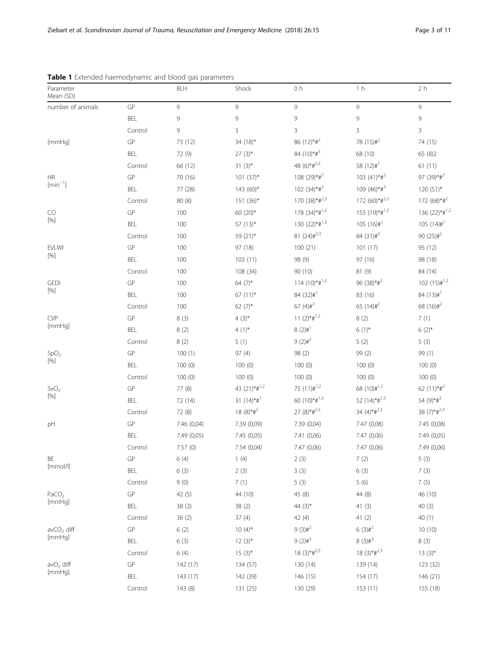| Parameter<br>Mean (SD)             |               | <b>BLH</b>  | Shock             | 0 <sub>h</sub>             | 1 <sub>h</sub>           | 2 <sub>h</sub>             |
|------------------------------------|---------------|-------------|-------------------|----------------------------|--------------------------|----------------------------|
| number of animals                  | GP            | 9           | 9                 | 9                          | 9                        | 9                          |
|                                    | <b>BEL</b>    | 9           | 9                 | 9                          | 9                        | 9                          |
|                                    | Control       | 9           | 3                 | 3                          | 3                        | $\mathbf{3}$               |
| [mmHg]                             | GP            | 73 (12)     | 34 (18)*          | 86 $(12)*{\#}^2$           | 78 $(15)$ # <sup>2</sup> | 74 (15)                    |
|                                    | <b>BEL</b>    | 72 (9)      | $27(3)$ *         | 84 (10)*#3                 | 68 (10)                  | 65 (8) 2                   |
|                                    | Control       | 66 (12)     | $31(3)*$          | 48 (6)* $#^{2,3}$          | 58 $(12)$ # <sup>1</sup> | 61 (11)                    |
| <b>HR</b><br>$[min^{-1}]$          | GP            | 70 (16)     | $101(37)*$        | $108(29)*{\#}^2$           | 103 $(41)*{\#}^2$        | 97 (39) $*$ # <sup>2</sup> |
|                                    | <b>BEL</b>    | 77 (28)     | $143(60)*$        | $102 (34)*{\#}^3$          | $109(46)*{\#}^3$         | $120(51)*$                 |
|                                    | Control       | 80 (8)      | $151(36)^*$       | 170 (38)* $#^{2,3}$        | 172 $(60)*{\#}^{2,3}$    | 172 $(68)*{\#}^2$          |
| CO<br>$[%]$                        | GP            | 100         | 60 (20)*          | 178 $(34)*{\#}^{1,2}$      | $155 (19)*{\#}^{1,2}$    | 136 $(22)*#^{1,2}$         |
|                                    | <b>BEL</b>    | 100         | $57(13)*$         | 130 $(22)*#^{1,3}$         | $105(16)$ # <sup>1</sup> | 105(14) <sup>1</sup>       |
|                                    | Control       | 100         | 59 (21)*          | 81 $(24)$ # <sup>2,3</sup> | 84 $(31)$ # <sup>2</sup> | 90 $(25)$ # <sup>2</sup>   |
| <b>EVLWI</b><br>$[%] \label{eq:3}$ | GP            | 100         | 97 (18)           | 100(21)                    | 101 (17)                 | 95 (12)                    |
|                                    | <b>BEL</b>    | 100         | 103(11)           | 98 (9)                     | 97 (16)                  | 98 (18)                    |
|                                    | Control       | 100         | 108 (34)          | 90 (10)                    | 81 (9)                   | 84 (14)                    |
| <b>GEDI</b><br>[%]                 | $\mathsf{GP}$ | 100         | 64 $(7)$ *        | $114 (10)*{\#}^{1,2}$      | 96 (38)* $#^2$           | $102(15)$ # <sup>1,2</sup> |
|                                    | <b>BEL</b>    | 100         | $67(11)^*$        | 84 (32)# <sup>1</sup>      | 83 (16)                  | 84 $(13)$ # <sup>1</sup>   |
|                                    | Control       | 100         | 62 $(7)$ *        | 67 $(4)$ # <sup>2</sup>    | 65 $(14)$ # <sup>2</sup> | 68 $(16)$ # <sup>2</sup>   |
| <b>CVP</b><br>[mmHg]               | GP            | 8(3)        | $4(3)$ *          | $11(2)*#^{1,2}$            | 8(2)                     | 7(1)                       |
|                                    | <b>BEL</b>    | 8(2)        | $4(1)^{*}$        | $8(2)$ # <sup>1</sup>      | $6(1)$ *                 | $6(2)$ *                   |
|                                    | Control       | 8(2)        | 5(1)              | 9(2) <sup>2</sup>          | 5(2)                     | 5(3)                       |
| SpO <sub>2</sub>                   | GP            | 100(1)      | 97(4)             | 98 (2)                     | 99 (2)                   | 99(1)                      |
| [%]                                | <b>BEL</b>    | 100(0)      | 100(0)            | 100(0)                     | 100(0)                   | 100(0)                     |
|                                    | Control       | 100(0)      | 100(0)            | 100(0)                     | 100(0)                   | 100(0)                     |
| SvO <sub>2</sub>                   | GP            | 77 (8)      | 43 $(21)*#^{1,2}$ | 75 $(11)$ # <sup>1,2</sup> | 68 (10)# <sup>1,2</sup>  | 62 $(11)*1+2$              |
| [%]                                | <b>BEL</b>    | 72 (14)     | 31 $(14)*#1$      | 60 $(10)*1^{,3}$           | 52 $(14)*{\#}^{1,3}$     | 54 $(9)*#^3$               |
|                                    | Control       | 72 (8)      | $18(8)*+2$        | 27 $(8)*#^{2,3}$           | 34 (4)* $\#^{2,3}$       | 38 $(7)$ *# <sup>2,3</sup> |
| pH                                 | GP            | 7.46 (0,04) | 7.39 (0,09)       | 7.39 (0,04)                | 7.47 (0,08)              | 7.45 (0,08)                |
|                                    | <b>BEL</b>    | 7.49 (0,05) | 7.45 (0,05)       | 7.41 (0,06)                | 7.47 (0,06)              | 7.49 (0,05)                |
|                                    | Control       | 7.57(0)     | 7.54 (0,04)       | 7.47 (0,06)                | 7.47 (0,06)              | 7.49 (0,06)                |
| BE<br>[mmol/l]                     | GP            | 6(4)        | 1(4)              | 2(3)                       | 7(2)                     | 5(3)                       |
|                                    | <b>BEL</b>    | 6(3)        | 2(3)              | 3(3)                       | 6(3)                     | 7(3)                       |
|                                    | Control       | 9(0)        | 7(1)              | 5(3)                       | 5(6)                     | 7(5)                       |
| PaCO <sub>2</sub><br>[mmHq]        | GP            | 42 (5)      | 44 (10)           | 45 (8)                     | 44 (8)                   | 46 (10)                    |
|                                    | <b>BEL</b>    | 38(3)       | 38(2)             | 44 $(3)$ *                 | 41(3)                    | 40(3)                      |
|                                    | Control       | 36(2)       | 37(4)             | 42 (4)                     | 41(2)                    | 40 (1)                     |
| $avCO2$ diff<br>[mmHg]             | $\mathsf{GP}$ | 6(2)        | $10(4)$ *         | 9(3) <sup>2</sup>          | 6(3) <sup>4</sup>        | 10 (10)                    |
|                                    | BEL           | 6(3)        | $12(3)$ *         | 9(2) <sup>43</sup>         | 8(3) <sup>43</sup>       | 8(3)                       |
|                                    | Control       | 6(4)        | $15(3)^{*}$       | $18(3)*#^{2,3}$            | 18 $(3)*#^{2,3}$         | $13(3)^{*}$                |
| $avO2$ diff<br>[mmHg]              | $\mathsf{GP}$ | 142 (17)    | 134 (57)          | 130 (14)                   | 139 (14)                 | 123 (32)                   |
|                                    | BEL           | 143 (17)    | 142 (39)          | 146 (15)                   | 154 (17)                 | 146 (21)                   |
|                                    | Control       | 143 (8)     | 131 (25)          | 130 (29)                   | 153 (11)                 | 155 (18)                   |

<span id="page-2-0"></span>Table 1 Extended haemodynamic and blood gas parameters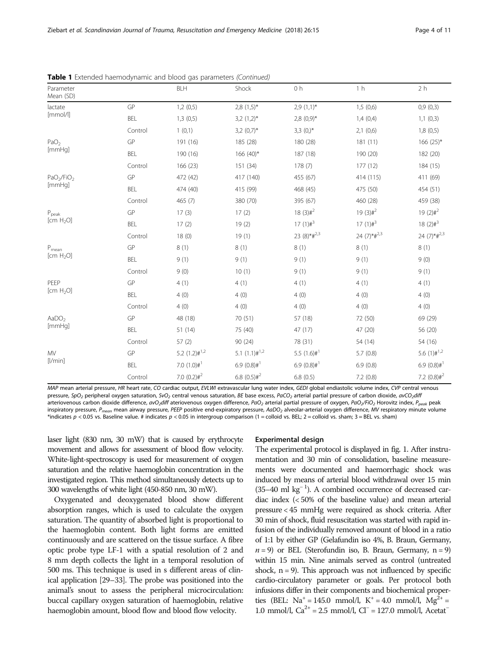|            |                              |                              |                            |                           | 2 <sub>h</sub>             |
|------------|------------------------------|------------------------------|----------------------------|---------------------------|----------------------------|
| GP         | 1,2(0,5)                     | $2,8$ $(1,5)^*$              | $2,9(1,1)^{*}$             | 1,5(0,6)                  | 0,9(0,3)                   |
| <b>BEL</b> | 1,3(0,5)                     | $3,2(1,2)*$                  | $2,8(0,9)*$                | 1,4(0,4)                  | 1,1(0,3)                   |
| Control    | 1(0,1)                       | $3,2(0,7)*$                  | $3,3$ $(0,)*$              | 2,1(0,6)                  | 1,8(0,5)                   |
| GP         | 191 (16)                     | 185 (28)                     | 180 (28)                   | 181(11)                   | $166(25)$ *                |
| <b>BEL</b> | 190 (16)                     | $166(40)$ *                  | 187 (18)                   | 190 (20)                  | 182 (20)                   |
| Control    | 166 (23)                     | 151 (34)                     | 178(7)                     | 177(12)                   | 184 (15)                   |
| GP         | 472 (42)                     | 417 (140)                    | 455 (67)                   | 414 (115)                 | 411 (69)                   |
| BEL        | 474 (40)                     | 415 (99)                     | 468 (45)                   | 475 (50)                  | 454 (51)                   |
| Control    | 465(7)                       | 380 (70)                     | 395 (67)                   | 460 (28)                  | 459 (38)                   |
| GP         | 17(3)                        | 17(2)                        | 18(3) <sup>2</sup>         | 19 $(3)$ # <sup>2</sup>   | 19 $(2)$ # <sup>2</sup>    |
| BEL        | 17(2)                        | 19(2)                        | 17(1) <sup>43</sup>        | 17(1) <sup>43</sup>       | 18 $(2)$ # <sup>3</sup>    |
| Control    | 18(0)                        | 19(1)                        | 23 $(8)*{\#}^{2,3}$        | 24 $(7)$ <sup>*#2,3</sup> | 24 $(7)$ <sup>*#2,3</sup>  |
| GP         | 8(1)                         | 8(1)                         | 8(1)                       | 8(1)                      | 8(1)                       |
| <b>BEL</b> | 9(1)                         | 9(1)                         | 9(1)                       | 9(1)                      | 9(0)                       |
| Control    | 9(0)                         | 10(1)                        | 9(1)                       | 9(1)                      | 9(1)                       |
| GP         | 4(1)                         | 4(1)                         | 4(1)                       | 4(1)                      | 4(1)                       |
| BEL        | 4(0)                         | 4(0)                         | 4(0)                       | 4(0)                      | 4(0)                       |
| Control    | 4(0)                         | 4(0)                         | 4(0)                       | 4(0)                      | 4(0)                       |
| GP         | 48 (18)                      | 70 (51)                      | 57 (18)                    | 72 (50)                   | 69 (29)                    |
| <b>BEL</b> | 51 (14)                      | 75 (40)                      | 47 (17)                    | 47 (20)                   | 56 (20)                    |
| Control    | 57(2)                        | 90 (24)                      | 78 (31)                    | 54 (14)                   | 54 (16)                    |
| GP         | 5.2 $(1.2)$ # <sup>1,2</sup> | 5.1 $(1.1)$ # <sup>1,2</sup> | 5.5 $(1.6)$ # <sup>1</sup> | 5.7(0.8)                  | 5.6 $(1)$ # <sup>1,2</sup> |
| BEL        | 7.0 $(1.0)$ # <sup>1</sup>   | 6.9 $(0.8)$ # <sup>1</sup>   | $6.9(0.8)$ # <sup>1</sup>  | 6.9(0.8)                  | 6.9 $(0.8)$ # <sup>1</sup> |
| Control    | 7.0 $(0.2)$ # <sup>2</sup>   | 6.8 $(0.5)$ # <sup>2</sup>   | 6.8(0.5)                   | 7.2(0.8)                  | 7.2 $(0.8)$ # <sup>2</sup> |
|            |                              | <b>BLH</b>                   | Shock                      | 0 <sub>h</sub>            | 1 <sub>h</sub>             |

Table 1 Extended haemodynamic and blood gas parameters (Continued)

MAP mean arterial pressure, HR heart rate, CO cardiac output, EVLWI extravascular lung water index, GEDI global endiastolic volume index, CVP central venous pressure, SpO<sub>2</sub> peripheral oxygen saturation, SvO<sub>2</sub> central venous saturation, BE base excess, PaCO<sub>2</sub> arterial partial pressure of carbon dioxide, avCO<sub>2</sub>diff arteriovenous carbon dioxide difference, avO<sub>2</sub>diff ateriovenous oxygen difference, PaO<sub>2</sub> arterial partial pressure of oxygen, PaO<sub>2</sub>/FiO<sub>2</sub> Horovitz index, P<sub>peak</sub> peak inspiratory pressure, P<sub>mean</sub> mean airway pressure, PEEP positive end-expiratory pressure, AaDO<sub>2</sub> alveolar-arterial oxygen difference, MV respiratory minute volume \*indicates  $p < 0.05$  vs. Baseline value. # indicates  $p < 0.05$  in intergroup comparison (1 = colloid vs. BEL; 2 = colloid vs. sham; 3 = BEL vs. sham)

laser light (830 nm, 30 mW) that is caused by erythrocyte movement and allows for assessment of blood flow velocity. White-light-spectroscopy is used for measurement of oxygen saturation and the relative haemoglobin concentration in the investigated region. This method simultaneously detects up to 300 wavelengths of white light (450-850 nm, 30 mW).

Oxygenated and deoxygenated blood show different absorption ranges, which is used to calculate the oxygen saturation. The quantity of absorbed light is proportional to the haemoglobin content. Both light forms are emitted continuously and are scattered on the tissue surface. A fibre optic probe type LF-1 with a spatial resolution of 2 and 8 mm depth collects the light in a temporal resolution of 500 ms. This technique is used in s different areas of clinical application [[29](#page-9-0)–[33](#page-9-0)]. The probe was positioned into the animal's snout to assess the peripheral microcirculation: buccal capillary oxygen saturation of haemoglobin, relative haemoglobin amount, blood flow and blood flow velocity.

#### Experimental design

The experimental protocol is displayed in fig. [1.](#page-5-0) After instrumentation and 30 min of consolidation, baseline measurements were documented and haemorrhagic shock was induced by means of arterial blood withdrawal over 15 min (35–40 ml kg<sup>−</sup> <sup>1</sup> ). A combined occurrence of decreased cardiac index (< 50% of the baseline value) and mean arterial pressure < 45 mmHg were required as shock criteria. After 30 min of shock, fluid resuscitation was started with rapid infusion of the individually removed amount of blood in a ratio of 1:1 by either GP (Gelafundin iso 4%, B. Braun, Germany,  $n = 9$ ) or BEL (Sterofundin iso, B. Braun, Germany,  $n = 9$ ) within 15 min. Nine animals served as control (untreated shock,  $n = 9$ ). This approach was not influenced by specific cardio-circulatory parameter or goals. Per protocol both infusions differ in their components and biochemical properties (BEL: Na<sup>+</sup> = 145.0 mmol/l, K<sup>+</sup> = 4.0 mmol/l, Mg<sup>2+</sup> = 1.0 mmol/l, Ca2+ = 2.5 mmol/l, Cl<sup>−</sup> = 127.0 mmol/l, Acetat<sup>−</sup>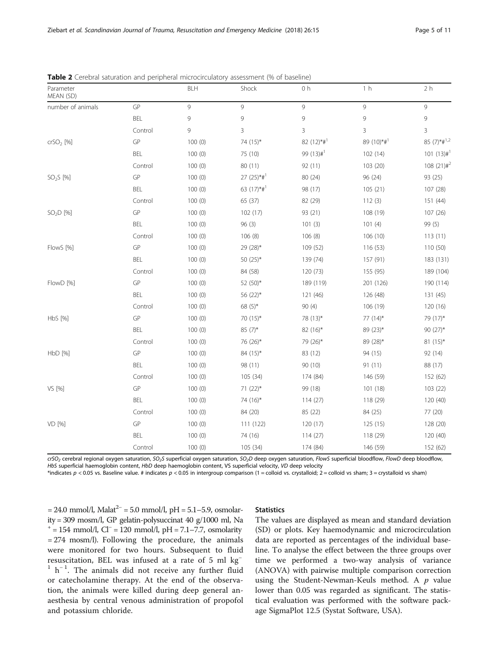| Parameter<br>MEAN (SD) |            | <b>BLH</b> | Shock           | 0 <sub>h</sub>           | 1 <sub>h</sub>          | 2 <sub>h</sub>           |
|------------------------|------------|------------|-----------------|--------------------------|-------------------------|--------------------------|
| number of animals      | GP         | 9          | 9               | 9                        | 9                       | 9                        |
|                        | <b>BEL</b> | 9          | 9               | 9                        | 9                       | 9                        |
|                        | Control    | 9          | 3               | 3                        | 3                       | 3                        |
| crSO <sub>2</sub> [%]  | GP         | 100(0)     | 74 (15)*        | 82 $(12)*1$ <sup>1</sup> | 89 $(10)*{\text{\#}}^1$ | 85 (7)*# <sup>1,2</sup>  |
|                        | BEL        | 100(0)     | 75 (10)         | 99 $(13)$ # <sup>1</sup> | 102(14)                 | 101(13) <sup>#1</sup>    |
|                        | Control    | 100(0)     | 80 (11)         | 92 (11)                  | 103 (20)                | $108(21)$ # <sup>2</sup> |
| $SO_2S$ [%]            | GP         | 100(0)     | $27(25)*{\#}^1$ | 80 (24)                  | 96 (24)                 | 93 (25)                  |
|                        | <b>BEL</b> | 100(0)     | 63 $(17)*11$    | 98 (17)                  | 105(21)                 | 107 (28)                 |
|                        | Control    | 100(0)     | 65 (37)         | 82 (29)                  | 112(3)                  | 151 (44)                 |
| $SO2D$ [%]             | GP         | 100(0)     | 102(17)         | 93 (21)                  | 108 (19)                | 107 (26)                 |
|                        | <b>BEL</b> | 100(0)     | 96(3)           | 101(3)                   | 101(4)                  | 99 (5)                   |
|                        | Control    | 100(0)     | 106(8)          | 106(8)                   | 106 (10)                | 113(11)                  |
| FlowS [%]              | GP         | 100(0)     | 29 (28)*        | 109 (52)                 | 116 (53)                | 110 (50)                 |
|                        | <b>BEL</b> | 100(0)     | 50 $(25)*$      | 139 (74)                 | 157 (91)                | 183 (131)                |
|                        | Control    | 100(0)     | 84 (58)         | 120 (73)                 | 155 (95)                | 189 (104)                |
| FlowD [%]              | GP         | 100(0)     | 52 (50)*        | 189 (119)                | 201 (126)               | 190 (114)                |
|                        | <b>BEL</b> | 100(0)     | 56 (22)*        | 121 (46)                 | 126 (48)                | 131 (45)                 |
|                        | Control    | 100(0)     | 68 $(5)$ *      | 90(4)                    | 106 (19)                | 120(16)                  |
| HbS [%]                | GP         | 100(0)     | 70 (15)*        | 78 (13)*                 | 77 (14)*                | 79 (17)*                 |
|                        | <b>BEL</b> | 100(0)     | 85 (7)*         | $82(16)^*$               | 89 (23)*                | 90 $(27)^*$              |
|                        | Control    | 100(0)     | 76 (26)*        | 79 (26)*                 | 89 (28)*                | $81(15)^*$               |
| HbD [%]                | GP         | 100(0)     | 84 (15)*        | 83 (12)                  | 94 (15)                 | 92 (14)                  |
|                        | BEL        | 100(0)     | 98 (11)         | 90 (10)                  | 91 (11)                 | 88 (17)                  |
|                        | Control    | 100(0)     | 105 (34)        | 174 (84)                 | 146 (59)                | 152 (62)                 |
| VS [%]                 | GP         | 100(0)     | 71 $(22)^*$     | 99 (18)                  | 101 (18)                | 103 (22)                 |
|                        | <b>BEL</b> | 100(0)     | 74 (16)*        | 114(27)                  | 118 (29)                | 120 (40)                 |
|                        | Control    | 100(0)     | 84 (20)         | 85 (22)                  | 84 (25)                 | 77 (20)                  |
| VD [%]                 | GP         | 100(0)     | 111 (122)       | 120 (17)                 | 125(15)                 | 128 (20)                 |
|                        | <b>BEL</b> | 100(0)     | 74 (16)         | 114(27)                  | 118 (29)                | 120 (40)                 |
|                        | Control    | 100(0)     | 105 (34)        | 174 (84)                 | 146 (59)                | 152 (62)                 |

<span id="page-4-0"></span>Table 2 Cerebral saturation and peripheral microcirculatory assessment (% of baseline)

 $crSO<sub>2</sub>$  cerebral regional oxygen saturation,  $SO<sub>2</sub>S$  superficial oxygen saturation,  $SO<sub>2</sub>D$  deep oxygen saturation, FlowS superficial bloodflow, FlowD deep bloodflow, HbS superficial haemoglobin content, HbD deep haemoglobin content, VS superficial velocity, VD deep velocity

\*indicates  $p < 0.05$  vs. Baseline value. # indicates  $p < 0.05$  in intergroup comparison (1 = colloid vs. crystalloid; 2 = colloid vs sham; 3 = crystalloid vs sham)

= 24.0 mmol/l, Malat2<sup>−</sup> = 5.0 mmol/l, pH = 5.1–5.9, osmolarity = 309 mosm/l, GP gelatin-polysuccinat 40 g/1000 ml, Na  $^+$  = 154 mmol/l, Cl<sup>−</sup> = 120 mmol/l, pH = 7.1–7.7, osmolarity = 274 mosm/l). Following the procedure, the animals were monitored for two hours. Subsequent to fluid resuscitation, BEL was infused at a rate of 5 ml kg<sup>−</sup>  $1 h^{-1}$ . The animals did not receive any further fluid or catecholamine therapy. At the end of the observation, the animals were killed during deep general anaesthesia by central venous administration of propofol and potassium chloride.

#### **Statistics**

The values are displayed as mean and standard deviation (SD) or plots. Key haemodynamic and microcirculation data are reported as percentages of the individual baseline. To analyse the effect between the three groups over time we performed a two-way analysis of variance (ANOVA) with pairwise multiple comparison correction using the Student-Newman-Keuls method. A  $p$  value lower than 0.05 was regarded as significant. The statistical evaluation was performed with the software package SigmaPlot 12.5 (Systat Software, USA).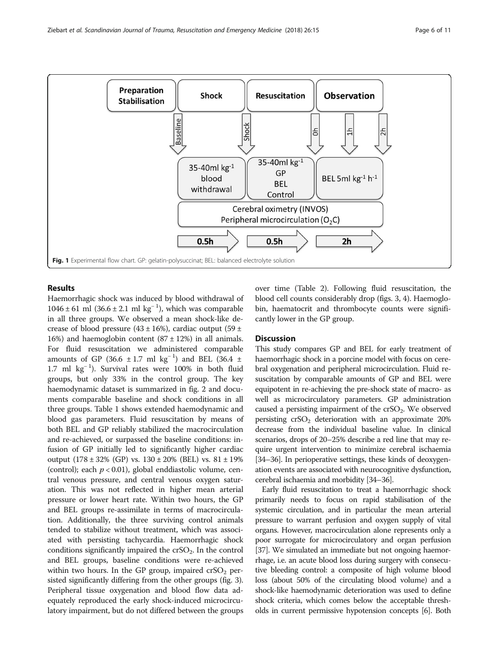<span id="page-5-0"></span>

## Results

Haemorrhagic shock was induced by blood withdrawal of  $1046 \pm 61$  ml (36.6 ± 2.1 ml kg<sup>-1</sup>), which was comparable in all three groups. We observed a mean shock-like decrease of blood pressure (43  $\pm$  16%), cardiac output (59  $\pm$ 16%) and haemoglobin content  $(87 \pm 12%)$  in all animals. For fluid resuscitation we administered comparable amounts of GP (36.6  $\pm$  1.7 ml kg<sup>-1</sup>) and BEL (36.4  $\pm$ 1.7 ml kg<sup>−</sup> <sup>1</sup> ). Survival rates were 100% in both fluid groups, but only 33% in the control group. The key haemodynamic dataset is summarized in fig. [2](#page-6-0) and documents comparable baseline and shock conditions in all three groups. Table [1](#page-2-0) shows extended haemodynamic and blood gas parameters. Fluid resuscitation by means of both BEL and GP reliably stabilized the macrocirculation and re-achieved, or surpassed the baseline conditions: infusion of GP initially led to significantly higher cardiac output  $(178 \pm 32\%$  (GP) vs.  $130 \pm 20\%$  (BEL) vs.  $81 \pm 19\%$ (control); each  $p < 0.01$ ), global enddiastolic volume, central venous pressure, and central venous oxygen saturation. This was not reflected in higher mean arterial pressure or lower heart rate. Within two hours, the GP and BEL groups re-assimilate in terms of macrocirculation. Additionally, the three surviving control animals tended to stabilize without treatment, which was associated with persisting tachycardia. Haemorrhagic shock conditions significantly impaired the  $crSO<sub>2</sub>$ . In the control and BEL groups, baseline conditions were re-achieved within two hours. In the GP group, impaired  $crSO<sub>2</sub>$  persisted significantly differing from the other groups (fig. [3](#page-7-0)). Peripheral tissue oxygenation and blood flow data adequately reproduced the early shock-induced microcirculatory impairment, but do not differed between the groups over time (Table [2](#page-4-0)). Following fluid resuscitation, the blood cell counts considerably drop (figs. [3](#page-7-0), [4\)](#page-7-0). Haemoglobin, haematocrit and thrombocyte counts were significantly lower in the GP group.

#### **Discussion**

This study compares GP and BEL for early treatment of haemorrhagic shock in a porcine model with focus on cerebral oxygenation and peripheral microcirculation. Fluid resuscitation by comparable amounts of GP and BEL were equipotent in re-achieving the pre-shock state of macro- as well as microcirculatory parameters. GP administration caused a persisting impairment of the  $crSO<sub>2</sub>$ . We observed persisting  $crSO<sub>2</sub>$  deterioration with an approximate 20% decrease from the individual baseline value. In clinical scenarios, drops of 20–25% describe a red line that may require urgent intervention to minimize cerebral ischaemia [[34](#page-9-0)–[36](#page-9-0)]. In perioperative settings, these kinds of deoxygenation events are associated with neurocognitive dysfunction, cerebral ischaemia and morbidity [\[34](#page-9-0)–[36](#page-9-0)].

Early fluid resuscitation to treat a haemorrhagic shock primarily needs to focus on rapid stabilisation of the systemic circulation, and in particular the mean arterial pressure to warrant perfusion and oxygen supply of vital organs. However, macrocirculation alone represents only a poor surrogate for microcirculatory and organ perfusion [[37](#page-9-0)]. We simulated an immediate but not ongoing haemorrhage, i.e. an acute blood loss during surgery with consecutive bleeding control: a composite of high volume blood loss (about 50% of the circulating blood volume) and a shock-like haemodynamic deterioration was used to define shock criteria, which comes below the acceptable thresholds in current permissive hypotension concepts [\[6\]](#page-9-0). Both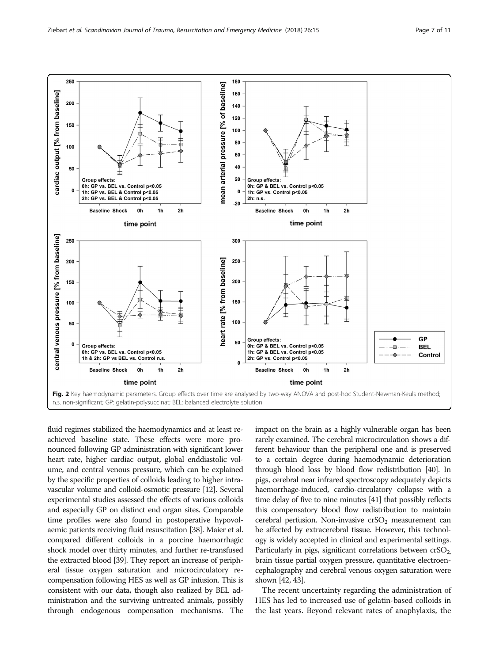<span id="page-6-0"></span>

fluid regimes stabilized the haemodynamics and at least reachieved baseline state. These effects were more pronounced following GP administration with significant lower heart rate, higher cardiac output, global enddiastolic volume, and central venous pressure, which can be explained by the specific properties of colloids leading to higher intravascular volume and colloid-osmotic pressure [\[12](#page-9-0)]. Several experimental studies assessed the effects of various colloids and especially GP on distinct end organ sites. Comparable time profiles were also found in postoperative hypovolaemic patients receiving fluid resuscitation [\[38](#page-9-0)]. Maier et al. compared different colloids in a porcine haemorrhagic shock model over thirty minutes, and further re-transfused the extracted blood [\[39\]](#page-9-0). They report an increase of peripheral tissue oxygen saturation and microcirculatory recompensation following HES as well as GP infusion. This is consistent with our data, though also realized by BEL administration and the surviving untreated animals, possibly through endogenous compensation mechanisms. The impact on the brain as a highly vulnerable organ has been rarely examined. The cerebral microcirculation shows a different behaviour than the peripheral one and is preserved to a certain degree during haemodynamic deterioration through blood loss by blood flow redistribution [[40](#page-10-0)]. In pigs, cerebral near infrared spectroscopy adequately depicts haemorrhage-induced, cardio-circulatory collapse with a time delay of five to nine minutes [\[41\]](#page-10-0) that possibly reflects this compensatory blood flow redistribution to maintain cerebral perfusion. Non-invasive  $crSO<sub>2</sub>$  measurement can be affected by extracerebral tissue. However, this technology is widely accepted in clinical and experimental settings. Particularly in pigs, significant correlations between  $crSO<sub>2</sub>$ , brain tissue partial oxygen pressure, quantitative electroencephalography and cerebral venous oxygen saturation were shown [\[42](#page-10-0), [43](#page-10-0)].

The recent uncertainty regarding the administration of HES has led to increased use of gelatin-based colloids in the last years. Beyond relevant rates of anaphylaxis, the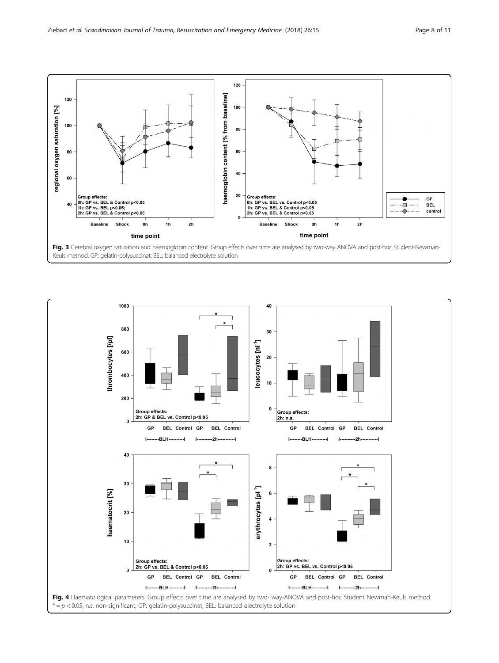<span id="page-7-0"></span>

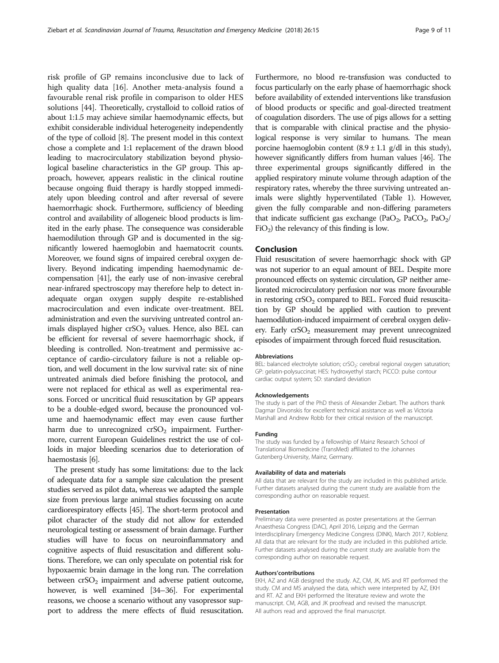risk profile of GP remains inconclusive due to lack of high quality data [[16\]](#page-9-0). Another meta-analysis found a favourable renal risk profile in comparison to older HES solutions [\[44\]](#page-10-0). Theoretically, crystalloid to colloid ratios of about 1:1.5 may achieve similar haemodynamic effects, but exhibit considerable individual heterogeneity independently of the type of colloid [\[8\]](#page-9-0). The present model in this context chose a complete and 1:1 replacement of the drawn blood leading to macrocirculatory stabilization beyond physiological baseline characteristics in the GP group. This approach, however, appears realistic in the clinical routine because ongoing fluid therapy is hardly stopped immediately upon bleeding control and after reversal of severe haemorrhagic shock. Furthermore, sufficiency of bleeding control and availability of allogeneic blood products is limited in the early phase. The consequence was considerable haemodilution through GP and is documented in the significantly lowered haemoglobin and haematocrit counts. Moreover, we found signs of impaired cerebral oxygen delivery. Beyond indicating impending haemodynamic decompensation [[41](#page-10-0)], the early use of non-invasive cerebral near-infrared spectroscopy may therefore help to detect inadequate organ oxygen supply despite re-established macrocirculation and even indicate over-treatment. BEL administration and even the surviving untreated control animals displayed higher  $crSO<sub>2</sub>$  values. Hence, also BEL can be efficient for reversal of severe haemorrhagic shock, if bleeding is controlled. Non-treatment and permissive acceptance of cardio-circulatory failure is not a reliable option, and well document in the low survival rate: six of nine untreated animals died before finishing the protocol, and were not replaced for ethical as well as experimental reasons. Forced or uncritical fluid resuscitation by GP appears to be a double-edged sword, because the pronounced volume and haemodynamic effect may even cause further harm due to unrecognized  $crSO<sub>2</sub>$  impairment. Furthermore, current European Guidelines restrict the use of colloids in major bleeding scenarios due to deterioration of haemostasis [\[6\]](#page-9-0).

The present study has some limitations: due to the lack of adequate data for a sample size calculation the present studies served as pilot data, whereas we adapted the sample size from previous large animal studies focussing on acute cardiorespiratory effects [\[45\]](#page-10-0). The short-term protocol and pilot character of the study did not allow for extended neurological testing or assessment of brain damage. Further studies will have to focus on neuroinflammatory and cognitive aspects of fluid resuscitation and different solutions. Therefore, we can only speculate on potential risk for hypoxaemic brain damage in the long run. The correlation between  $crSO<sub>2</sub>$  impairment and adverse patient outcome, however, is well examined [\[34](#page-9-0)–[36\]](#page-9-0). For experimental reasons, we choose a scenario without any vasopressor support to address the mere effects of fluid resuscitation. Furthermore, no blood re-transfusion was conducted to focus particularly on the early phase of haemorrhagic shock before availability of extended interventions like transfusion of blood products or specific and goal-directed treatment of coagulation disorders. The use of pigs allows for a setting that is comparable with clinical practise and the physiological response is very similar to humans. The mean porcine haemoglobin content  $(8.9 \pm 1.1 \text{ g/d}$  in this study), however significantly differs from human values [[46](#page-10-0)]. The three experimental groups significantly differed in the applied respiratory minute volume through adaption of the respiratory rates, whereby the three surviving untreated animals were slightly hyperventilated (Table [1\)](#page-2-0). However, given the fully comparable and non-differing parameters that indicate sufficient gas exchange (PaO<sub>2</sub>, PaCO<sub>2</sub>, PaO<sub>2</sub>/  $FiO<sub>2</sub>$ ) the relevancy of this finding is low.

#### Conclusion

Fluid resuscitation of severe haemorrhagic shock with GP was not superior to an equal amount of BEL. Despite more pronounced effects on systemic circulation, GP neither ameliorated microcirculatory perfusion nor was more favourable in restoring  $crSO<sub>2</sub>$  compared to BEL. Forced fluid resuscitation by GP should be applied with caution to prevent haemodilution-induced impairment of cerebral oxygen delivery. Early  $crSO<sub>2</sub>$  measurement may prevent unrecognized episodes of impairment through forced fluid resuscitation.

#### Abbreviations

BEL: balanced electrolyte solution; crSO<sub>2</sub>: cerebral regional oxygen saturation; GP: gelatin-polysuccinat; HES: hydroxyethyl starch; PiCCO: pulse contour cardiac output system; SD: standard deviation

#### Acknowledgements

The study is part of the PhD thesis of Alexander Ziebart. The authors thank Dagmar Dirvonskis for excellent technical assistance as well as Victoria Marshall and Andrew Robb for their critical revision of the manuscript.

#### Funding

The study was funded by a fellowship of Mainz Research School of Translational Biomedicine (TransMed) affiliated to the Johannes Gutenberg-University, Mainz, Germany.

#### Availability of data and materials

All data that are relevant for the study are included in this published article. Further datasets analysed during the current study are available from the corresponding author on reasonable request.

#### Presentation

Preliminary data were presented as poster presentations at the German Anaesthesia Congress (DAC), April 2016, Leipzig and the German Interdisciplinary Emergency Medicine Congress (DINK), March 2017, Koblenz. All data that are relevant for the study are included in this published article. Further datasets analysed during the current study are available from the corresponding author on reasonable request.

#### Authors'contributions

EKH, AZ and AGB designed the study. AZ, CM, JK, MS and RT performed the study. CM and MS analysed the data, which were interpreted by AZ, EKH and RT. AZ and EKH performed the literature review and wrote the manuscript. CM, AGB, and JK proofread and revised the manuscript. All authors read and approved the final manuscript.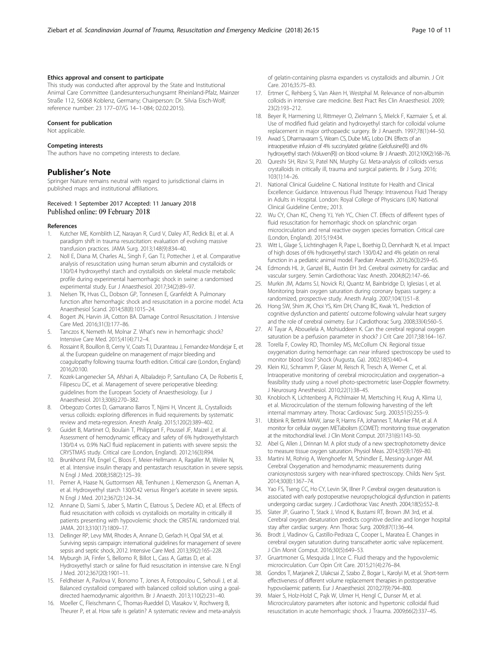#### <span id="page-9-0"></span>Ethics approval and consent to participate

This study was conducted after approval by the State and Institutional Animal Care Committee (Landesuntersuchungsamt Rheinland-Pfalz, Mainzer Straße 112, 56068 Koblenz, Germany; Chairperson: Dr. Silvia Eisch-Wolf; reference number: 23 177–07/G 14–1-084; 02.02.2015).

#### Consent for publication

Not applicable.

#### Competing interests

The authors have no competing interests to declare.

## Publisher's Note

Springer Nature remains neutral with regard to jurisdictional claims in published maps and institutional affiliations.

#### Received: 1 September 2017 Accepted: 11 January 2018 Published online: 09 February 2018

#### References

- Kutcher ME, Kornblith LZ, Narayan R, Curd V, Daley AT, Redick BJ, et al. A paradigm shift in trauma resuscitation: evaluation of evolving massive transfusion practices. JAMA Surg. 2013;148(9):834–40.
- 2. Noll E, Diana M, Charles AL, Singh F, Gan TJ, Pottecher J, et al. Comparative analysis of resuscitation using human serum albumin and crystalloids or 130/0.4 hydroxyethyl starch and crystalloids on skeletal muscle metabolic profile during experimental haemorrhagic shock in swine: a randomised experimental study. Eur J Anaesthesiol. 2017;34(2):89–97.
- 3. Nielsen TK, Hvas CL, Dobson GP, Tonnesen E, Granfeldt A. Pulmonary function after hemorrhagic shock and resuscitation in a porcine model. Acta Anaesthesiol Scand. 2014;58(8):1015–24.
- 4. Bogert JN, Harvin JA, Cotton BA. Damage Control Resuscitation. J Intensive Care Med. 2016;31(3):177–86.
- Tanczos K, Nemeth M, Molnar Z. What's new in hemorrhagic shock? Intensive Care Med. 2015;41(4):712–4.
- 6. Rossaint R, Bouillon B, Cerny V, Coats TJ, Duranteau J, Fernandez-Mondejar E, et al. the European guideline on management of major bleeding and coagulopathy following trauma: fourth edition. Critical care (London, England) 2016;20:100.
- 7. Kozek-Langenecker SA, Afshari A, Albaladejo P, Santullano CA, De Robertis E, Filipescu DC, et al. Management of severe perioperative bleeding: guidelines from the European Society of Anaesthesiology. Eur J Anaesthesiol. 2013;30(6):270–382.
- 8. Orbegozo Cortes D, Gamarano Barros T, Njimi H, Vincent JL. Crystalloids versus colloids: exploring differences in fluid requirements by systematic review and meta-regression. Anesth Analg. 2015;120(2):389–402.
- Guidet B, Martinet O, Boulain T, Philippart F, Poussel JF, Maizel J, et al. Assessment of hemodynamic efficacy and safety of 6% hydroxyethylstarch 130/0.4 vs. 0.9% NaCl fluid replacement in patients with severe sepsis: the CRYSTMAS study. Critical care (London, England). 2012;16(3):R94.
- 10. Brunkhorst FM, Engel C, Bloos F, Meier-Hellmann A, Ragaller M, Weiler N, et al. Intensive insulin therapy and pentastarch resuscitation in severe sepsis. N Engl J Med. 2008;358(2):125–39.
- 11. Perner A, Haase N, Guttormsen AB, Tenhunen J, Klemenzson G, Aneman A, et al. Hydroxyethyl starch 130/0.42 versus Ringer's acetate in severe sepsis. N Engl J Med. 2012;367(2):124–34.
- 12. Annane D, Siami S, Jaber S, Martin C, Elatrous S, Declere AD, et al. Effects of fluid resuscitation with colloids vs crystalloids on mortality in critically ill patients presenting with hypovolemic shock: the CRISTAL randomized trial. JAMA. 2013;310(17):1809–17.
- 13. Dellinger RP, Levy MM, Rhodes A, Annane D, Gerlach H, Opal SM, et al. Surviving sepsis campaign: international guidelines for management of severe sepsis and septic shock, 2012. Intensive Care Med. 2013;39(2):165–228.
- 14. Myburgh JA, Finfer S, Bellomo R, Billot L, Cass A, Gattas D, et al. Hydroxyethyl starch or saline for fluid resuscitation in intensive care. N Engl J Med. 2012;367(20):1901–11.
- 15. Feldheiser A, Pavlova V, Bonomo T, Jones A, Fotopoulou C, Sehouli J, et al. Balanced crystalloid compared with balanced colloid solution using a goaldirected haemodynamic algorithm. Br J Anaesth. 2013;110(2):231–40.
- 16. Moeller C, Fleischmann C, Thomas-Rueddel D, Vlasakov V, Rochwerg B, Theurer P, et al. How safe is gelatin? A systematic review and meta-analysis

of gelatin-containing plasma expanders vs crystalloids and albumin. J Crit Care. 2016;35:75–83.

- 17. Ertmer C, Rehberg S, Van Aken H, Westphal M. Relevance of non-albumin colloids in intensive care medicine. Best Pract Res Clin Anaesthesiol. 2009; 23(2):193–212.
- 18. Beyer R, Harmening U, Rittmeyer O, Zielmann S, Mielck F, Kazmaier S, et al. Use of modified fluid gelatin and hydroxyethyl starch for colloidal volume replacement in major orthopaedic surgery. Br J Anaesth. 1997;78(1):44–50.
- 19. Awad S, Dharmavaram S, Wearn CS, Dube MG, Lobo DN. Effects of an intraoperative infusion of 4% succinylated gelatine (Gelofusine(R)) and 6% hydroxyethyl starch (Voluven(R)) on blood volume. Br J Anaesth. 2012;109(2):168–76.
- 20. Qureshi SH, Rizvi SI, Patel NN, Murphy GJ. Meta-analysis of colloids versus crystalloids in critically ill, trauma and surgical patients. Br J Surg. 2016; 103(1):14–26.
- 21. National Clinical Guideline C. National Institute for Health and Clinical Excellence: Guidance. Intravenous Fluid Therapy: Intravenous Fluid Therapy in Adults in Hospital. London: Royal College of Physicians (UK) National Clinical Guideline Centre.; 2013.
- 22. Wu CY, Chan KC, Cheng YJ, Yeh YC, Chien CT. Effects of different types of fluid resuscitation for hemorrhagic shock on splanchnic organ microcirculation and renal reactive oxygen species formation. Critical care (London, England). 2015;19:434.
- 23. Witt L, Glage S, Lichtinghagen R, Pape L, Boethig D, Dennhardt N, et al. Impact of high doses of 6% hydroxyethyl starch 130/0.42 and 4% gelatin on renal function in a pediatric animal model. Paediatr Anaesth. 2016;26(3):259–65.
- 24. Edmonds HL Jr, Ganzel BL, Austin EH 3rd. Cerebral oximetry for cardiac and vascular surgery. Semin Cardiothorac Vasc Anesth. 2004;8(2):147–66.
- 25. Murkin JM, Adams SJ, Novick RJ, Quantz M, Bainbridge D, Iglesias I, et al. Monitoring brain oxygen saturation during coronary bypass surgery: a randomized, prospective study. Anesth Analg. 2007;104(1):51–8.
- 26. Hong SW, Shim JK, Choi YS, Kim DH, Chang BC, Kwak YL. Prediction of cognitive dysfunction and patients' outcome following valvular heart surgery and the role of cerebral oximetry. Eur J Cardiothorac Surg. 2008;33(4):560–5.
- 27. Al Tayar A, Abouelela A, Mohiuddeen K. Can the cerebral regional oxygen saturation be a perfusion parameter in shock? J Crit Care 2017;38:164–167.
- 28. Torella F, Cowley RD, Thorniley MS, McCollum CN. Regional tissue oxygenation during hemorrhage: can near infrared spectroscopy be used to monitor blood loss? Shock (Augusta, Ga). 2002;18(5):440–4.
- 29. Klein KU, Schramm P, Glaser M, Reisch R, Tresch A, Werner C, et al. Intraoperative monitoring of cerebral microcirculation and oxygenation–a feasibility study using a novel photo-spectrometric laser-Doppler flowmetry. J Neurosurg Anesthesiol. 2010;22(1):38–45.
- 30. Knobloch K, Lichtenberg A, Pichlmaier M, Mertsching H, Krug A, Klima U, et al. Microcirculation of the sternum following harvesting of the left internal mammary artery. Thorac Cardiovasc Surg. 2003;51(5):255–9.
- 31. Ubbink R, Bettink MAW, Janse R, Harms FA, Johannes T, Munker FM, et al. A monitor for cellular oxygen METabolism (COMET): monitoring tissue oxygenation at the mitochondrial level. J Clin Monit Comput. 2017;31(6):1143–50.
- 32. Abel G, Allen J, Drinnan M. A pilot study of a new spectrophotometry device to measure tissue oxygen saturation. Physiol Meas. 2014;35(9):1769–80.
- 33. Martini M, Rohrig A, Wenghoefer M, Schindler E, Messing-Junger AM. Cerebral Oxygenation and hemodynamic measurements during craniosynostosis surgery with near-infrared spectroscopy. Childs Nerv Syst. 2014;30(8):1367–74.
- 34. Yao FS, Tseng CC, Ho CY, Levin SK, Illner P. Cerebral oxygen desaturation is associated with early postoperative neuropsychological dysfunction in patients undergoing cardiac surgery. J Cardiothorac Vasc Anesth. 2004;18(5):552–8.
- 35. Slater JP, Guarino T, Stack J, Vinod K, Bustami RT, Brown JM 3rd, et al. Cerebral oxygen desaturation predicts cognitive decline and longer hospital stay after cardiac surgery. Ann Thorac Surg. 2009;87(1):36–44.
- 36. Brodt J, Vladinov G, Castillo-Pedraza C, Cooper L, Maratea E. Changes in cerebral oxygen saturation during transcatheter aortic valve replacement. J Clin Monit Comput. 2016;30(5):649–53.
- 37. Gruartmoner G, Mesquida J, Ince C. Fluid therapy and the hypovolemic microcirculation. Curr Opin Crit Care. 2015;21(4):276–84.
- 38. Gondos T, Marjanek Z, Ulakcsai Z, Szabo Z, Bogar L, Karolyi M, et al. Short-term effectiveness of different volume replacement therapies in postoperative hypovolaemic patients. Eur J Anaesthesiol. 2010;27(9):794–800.
- 39. Maier S, Holz-Holzl C, Pajk W, Ulmer H, Hengl C, Dunser M, et al. Microcirculatory parameters after isotonic and hypertonic colloidal fluid resuscitation in acute hemorrhagic shock. J Trauma. 2009;66(2):337–45.